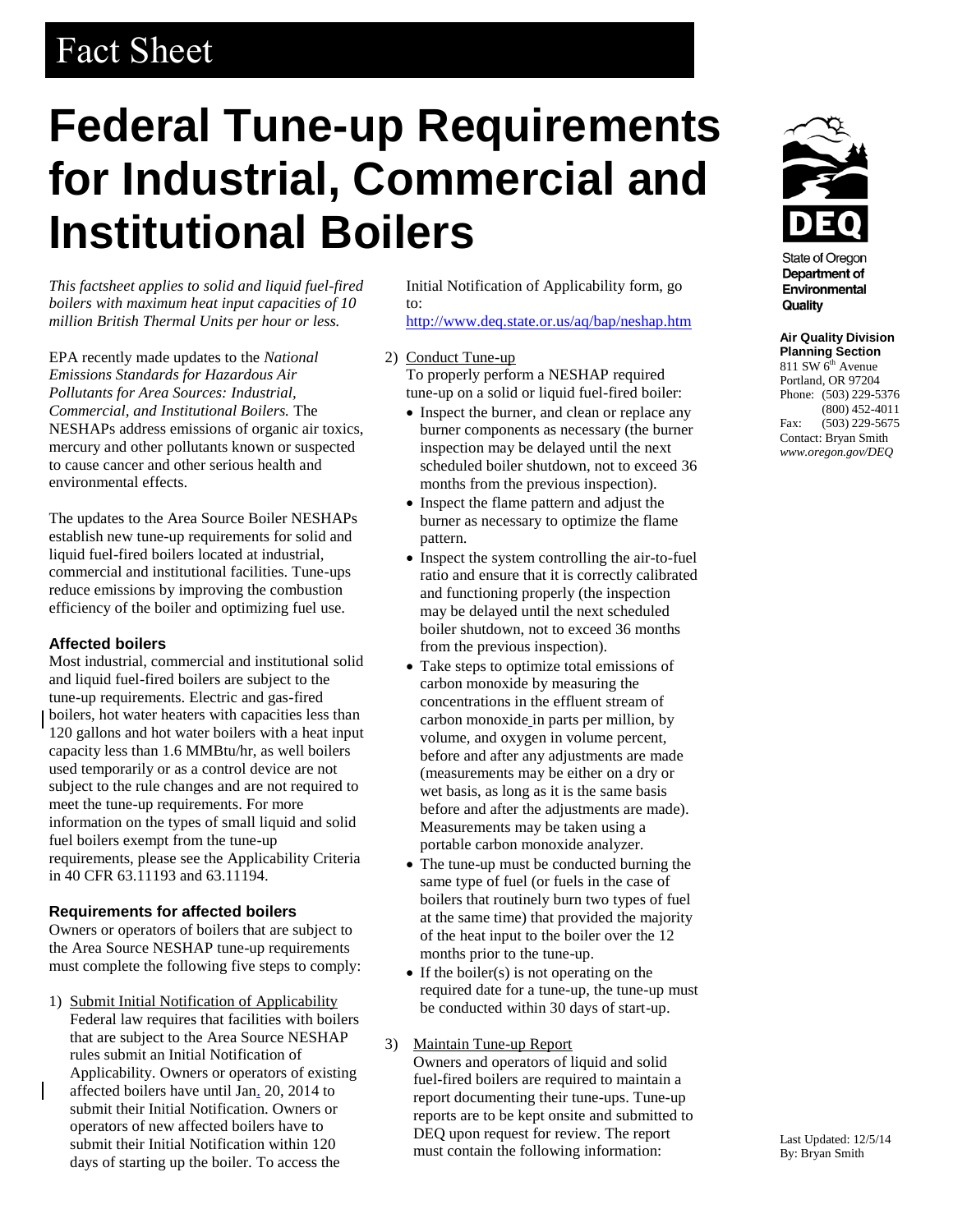# Fact Sheet

# **Federal Tune-up Requirements for Industrial, Commercial and Institutional Boilers**

*This factsheet applies to solid and liquid fuel-fired boilers with maximum heat input capacities of 10 million British Thermal Units per hour or less.*

EPA recently made updates to the *National Emissions Standards for Hazardous Air Pollutants for Area Sources: Industrial, Commercial, and Institutional Boilers.* The NESHAPs address emissions of organic air toxics, mercury and other pollutants known or suspected to cause cancer and other serious health and environmental effects.

The updates to the Area Source Boiler NESHAPs establish new tune-up requirements for solid and liquid fuel-fired boilers located at industrial, commercial and institutional facilities. Tune-ups reduce emissions by improving the combustion efficiency of the boiler and optimizing fuel use.

# **Affected boilers**

Most industrial, commercial and institutional solid and liquid fuel-fired boilers are subject to the tune-up requirements. Electric and gas-fired boilers, hot water heaters with capacities less than 120 gallons and hot water boilers with a heat input capacity less than 1.6 MMBtu/hr, as well boilers used temporarily or as a control device are not subject to the rule changes and are not required to meet the tune-up requirements. For more information on the types of small liquid and solid fuel boilers exempt from the tune-up requirements, please see the Applicability Criteria in 40 CFR 63.11193 and 63.11194.

# **Requirements for affected boilers**

Owners or operators of boilers that are subject to the Area Source NESHAP tune-up requirements must complete the following five steps to comply:

1) Submit Initial Notification of Applicability Federal law requires that facilities with boilers that are subject to the Area Source NESHAP rules submit an Initial Notification of Applicability. Owners or operators of existing affected boilers have until Jan. 20, 2014 to submit their Initial Notification. Owners or operators of new affected boilers have to submit their Initial Notification within 120 days of starting up the boiler. To access the

Initial Notification of Applicability form, go to:

<http://www.deq.state.or.us/aq/bap/neshap.htm>

- 2) Conduct Tune-up To properly perform a NESHAP required tune-up on a solid or liquid fuel-fired boiler:
	- Inspect the burner, and clean or replace any burner components as necessary (the burner inspection may be delayed until the next scheduled boiler shutdown, not to exceed 36 months from the previous inspection).
	- Inspect the flame pattern and adjust the burner as necessary to optimize the flame pattern.
	- Inspect the system controlling the air-to-fuel ratio and ensure that it is correctly calibrated and functioning properly (the inspection may be delayed until the next scheduled boiler shutdown, not to exceed 36 months from the previous inspection).
	- Take steps to optimize total emissions of carbon monoxide by measuring the concentrations in the effluent stream of carbon monoxide in parts per million, by volume, and oxygen in volume percent, before and after any adjustments are made (measurements may be either on a dry or wet basis, as long as it is the same basis before and after the adjustments are made). Measurements may be taken using a portable carbon monoxide analyzer.
	- The tune-up must be conducted burning the same type of fuel (or fuels in the case of boilers that routinely burn two types of fuel at the same time) that provided the majority of the heat input to the boiler over the 12 months prior to the tune-up.
	- $\bullet$  If the boiler(s) is not operating on the required date for a tune-up, the tune-up must be conducted within 30 days of start-up.
- 3) Maintain Tune-up Report Owners and operators of liquid and solid fuel-fired boilers are required to maintain a report documenting their tune-ups. Tune-up reports are to be kept onsite and submitted to DEQ upon request for review. The report must contain the following information:



State of Oregon Department of Environmental Quality

# **Air Quality Division**

**Planning Section**  $811$  SW  $6<sup>th</sup>$  Avenue Portland, OR 97204 Phone: (503) 229-5376 (800) 452-4011 Fax: (503) 229-5675 Contact: Bryan Smith *www.oregon.gov/DEQ*